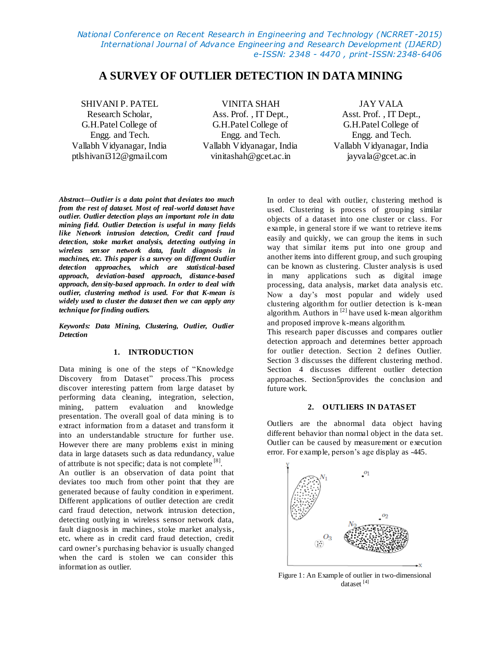# **A SURVEY OF OUTLIER DETECTION IN DATA MINING**

SHIVANI P. PATEL Research Scholar, G.H.Patel College of Engg. and Tech. Vallabh Vidyanagar, India ptlshivani312@gmail.com

VINITA SHAH Ass. Prof. , IT Dept., G.H.Patel College of Engg. and Tech. Vallabh Vidyanagar, India vinitashah@gcet.ac.in

JAY VALA Asst. Prof. , IT Dept., G.H.Patel College of Engg. and Tech. Vallabh Vidyanagar, India jayvala@gcet.ac.in

*Abstract—Outlier is a data point that deviates too much from the rest of dataset. Most of real-world dataset have outlier. Outlier detection plays an important role in data mining field. Outlier Detection is useful in many fields like Network intrusion detection, Credit card fraud detection, stoke market analysis, detecting outlying in wireless sensor network data, fault diagnosis in machines, etc. This paper is a survey on different Outlier detection approaches, which are statistical-based approach, deviation-based approach, distance-based approach, density-based approach. In order to deal with outlier, clustering method is used. For that K-mean is widely used to cluster the dataset then we can apply any technique for finding outliers.*

*Keywords: Data Mining, Clustering, Outlier, Outlier Detection*

### **1. INTRODUCTION**

Data mining is one of the steps of "Knowledge Discovery from Dataset" process.This process discover interesting pattern from large dataset by performing data cleaning, integration, selection, mining, pattern evaluation and knowledge presentation. The overall goal of data mining is to extract information from a dataset and transform it into an understandable structure for further use. However there are many problems exist in mining data in large datasets such as data redundancy, value of attribute is not specific; data is not complete [8].

An outlier is an observation of data point that deviates too much from other point that they are generated because of faulty condition in experiment. Different applications of outlier detection are credit card fraud detection, network intrusion detection, detecting outlying in wireless sensor network data, fault diagnosis in machines, stoke market analysis, etc*.* where as in credit card fraud detection, credit card owner's purchasing behavior is usually changed when the card is stolen we can consider this information as outlier.

In order to deal with outlier, clustering method is used. Clustering is process of grouping similar objects of a dataset into one cluster or class. For example, in general store if we want to retrieve items easily and quickly, we can group the items in such way that similar items put into one group and another items into different group, and such grouping can be known as clustering. Cluster analysis is used in many applications such as digital image processing, data analysis, market data analysis etc. Now a day's most popular and widely used clustering algorithm for outlier detection is k-mean algorithm. Authors in  $^{[2]}$  have used k-mean algorithm and proposed improve k-means algorithm.

This research paper discusses and compares outlier detection approach and determines better approach for outlier detection. Section 2 defines Outlier. Section 3 discusses the different clustering method. Section 4 discusses different outlier detection approaches. Section5provides the conclusion and future work.

## **2. OUTLIERS IN DATAS ET**

Outliers are the abnormal data object having different behavior than normal object in the data set. Outlier can be caused by measurement or execution error. For example, person's age display as -445.



Figure 1: An Example of outlier in two-dimensional dataset [4]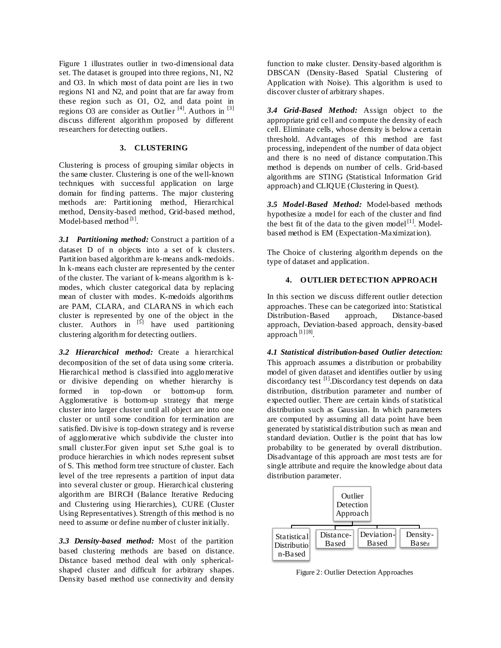Figure 1 illustrates outlier in two-dimensional data set. The dataset is grouped into three regions, N1, N2 and O3. In which most of data point are lies in two regions N1 and N2, and point that are far away from these region such as O1, O2, and data point in regions O3 are consider as Outlier<sup>[4]</sup>. Authors in<sup>[3]</sup> discuss different algorithm proposed by different researchers for detecting outliers.

# **3. CLUSTERING**

Clustering is process of grouping similar objects in the same cluster. Clustering is one of the well-known techniques with successful application on large domain for finding patterns. The major clustering methods are: Partitioning method, Hierarchical method, Density-based method, Grid-based method, Model-based method [1].

*3.1 Partitioning method:* Construct a partition of a dataset D of n objects into a set of k clusters. Partition based algorithm are k-means andk-medoids. In k-means each cluster are represented by the center of the cluster. The variant of k-means algorithm is kmodes, which cluster categorical data by replacing mean of cluster with modes. K-medoids algorithms are PAM, CLARA, and CLARANS in which each cluster is represented by one of the object in the cluster. Authors in  $\begin{bmatrix} 5 \end{bmatrix}$  have used partitioning clustering algorithm for detecting outliers.

*3.2 Hierarchical method:* Create a hierarchical decomposition of the set of data using some criteria. Hierarchical method is classified into agglomerative or divisive depending on whether hierarchy is formed in top-down or bottom-up form. Agglomerative is bottom-up strategy that merge cluster into larger cluster until all object are into one cluster or until some condition for termination are satisfied. Divisive is top-down strategy and is reverse of agglomerative which subdivide the cluster into small cluster.For given input set S,the goal is to produce hierarchies in which nodes represent subset of S. This method form tree structure of cluster. Each level of the tree represents a partition of input data into several cluster or group. Hierarchical clustering algorithm are BIRCH (Balance Iterative Reducing and Clustering using Hierarchies), CURE (Cluster Using Representatives). Strength of this method is no need to assume or define number of cluster initially.

*3.3 Density-based method:* Most of the partition based clustering methods are based on distance. Distance based method deal with only sphericalshaped cluster and difficult for arbitrary shapes. Density based method use connectivity and density function to make cluster. Density-based algorithm is DBSCAN (Density-Based Spatial Clustering of Application with Noise). This algorithm is used to discover cluster of arbitrary shapes.

*3.4 Grid-Based Method:* Assign object to the appropriate grid cell and compute the density of each cell. Eliminate cells, whose density is below a certain threshold. Advantages of this method are fast processing, independent of the number of data object and there is no need of distance computation.This method is depends on number of cells. Grid-based algorithms are STING (Statistical Information Grid approach) and CLIQUE (Clustering in Quest).

*3.5 Model-Based Method:* Model-based methods hypothesize a model for each of the cluster and find the best fit of the data to the given model $[1]$ . Modelbased method is EM (Expectation-Maximization).

The Choice of clustering algorithm depends on the type of dataset and application.

# **4. OUTLIER DETECTION APPROACH**

In this section we discuss different outlier detection approaches. These can be categorized into: Statistical Distribution-Based approach, Distance-based approach, Deviation-based approach, density-based approach  $^{[1] [8]}$ .

*4.1 Statistical distribution-based Outlier detection:*  This approach assumes a distribution or probability model of given dataset and identifies outlier by using discordancy test <sup>[1]</sup>. Discordancy test depends on data distribution, distribution parameter and number of expected outlier. There are certain kinds of statistical distribution such as Gaussian. In which parameters are computed by assuming all data point have been generated by statistical distribution such as mean and standard deviation. Outlier is the point that has low probability to be generated by overall distribution. Disadvantage of this approach are most tests are for single attribute and require the knowledge about data distribution parameter.



Figure 2: Outlier Detection Approaches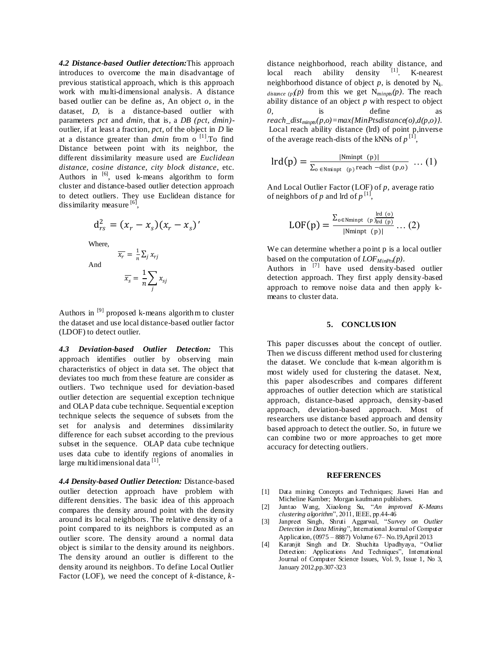*4.2 Distance-based Outlier detection:*This approach introduces to overcome the main disadvantage of previous statistical approach, which is this approach work with multi-dimensional analysis. A distance based outlier can be define as, An object *o*, in the dataset, *D*, is a distance-based outlier with parameters *pct* and *dmin*, that is, a *DB (pct, dmin)* outlier, if at least a fraction, *pct*, of the object in *D* lie at a distance greater than *dmin* from o [1] .To find Distance between point with its neighbor, the different dissimilarity measure used are *Euclidean distance, cosine distance, city block distance*, etc. Authors in  $\begin{bmatrix} 6 \end{bmatrix}$ , used k-means algorithm to form cluster and distance-based outlier detection approach to detect outliers. They use Euclidean distance for dissimilarity measure [6],

$$
d_{rs}^{2} = (x_{r} - x_{s})(x_{r} - x_{s})'
$$
  
Where,  

$$
\overline{x_{r}} = \frac{1}{n} \sum_{j} x_{rj}
$$
  
And
$$
\overline{x_{s}} = \frac{1}{n} \sum_{j} x_{sj}
$$

Authors in  $[9]$  proposed k-means algorithm to cluster the dataset and use local distance-based outlier factor (LDOF) to detect outlier.

*4.3 Deviation-based Outlier Detection:* This approach identifies outlier by observing main characteristics of object in data set. The object that deviates too much from these feature are consider as outliers. Two technique used for deviation-based outlier detection are sequential exception technique and OLAP data cube technique. Sequential exception technique selects the sequence of subsets from the set for analysis and determines dissimilarity difference for each subset according to the previous subset in the sequence. OLAP data cube technique uses data cube to identify regions of anomalies in large multidimensional data<sup>[1]</sup>.

*4.4 Density-based Outlier Detection:* Distance-based outlier detection approach have problem with different densities. The basic idea of this approach compares the density around point with the density around its local neighbors. The relative density of a point compared to its neighbors is computed as an outlier score. The density around a normal data object is similar to the density around its neighbors. The density around an outlier is different to the density around its neighbors. To define Local Outlier Factor (LOF), we need the concept of *k*-distance, *k-* distance neighborhood, reach ability distance, and local reach ability density [1]. K-nearest neighborhood distance of object *p*, is denoted by N*k* $distance (p)(p)$  from this we get  $N_{minpts}(p)$ . The reach ability distance of an object *p* with respect to object *0*, is define as *reach\_distminpts(p,o)=max{MinPtsdistance(o),d(p,o)}.* Local reach ability distance (lrd) of point p,inverse of the average reach-dists of the kNNs of  $p^{[1]}$ ,

$$
lrd(p) = \frac{|Nminpt(p)|}{\sum_{o \in Nminpt(p)} real} ... (1)
$$

And Local Outlier Factor (LOF) of *p,* average ratio of neighbors of *p* and lrd of  $p^{[1]}$ ,

$$
LOF(p) = \frac{\sum_{o \in Nminpt} \binom{lrd (o)}{lpd (p)}}{|Nminpt (p)|} \dots (2)
$$

We can determine whether a point p is a local outlier based on the computation of *LOFMinPts(p)*.

Authors in  $^{[7]}$  have used density-based outlier detection approach. They first apply density-based approach to remove noise data and then apply kmeans to cluster data.

## **5. CONCLUS ION**

This paper discusses about the concept of outlier. Then we discuss different method used for clustering the dataset. We conclude that k-mean algorithm is most widely used for clustering the dataset. Next, this paper alsodescribes and compares different approaches of outlier detection which are statistical approach, distance-based approach, density-based approach, deviation-based approach. Most of researchers use distance based approach and density based approach to detect the outlier. So, in future we can combine two or more approaches to get more accuracy for detecting outliers.

#### **REFERENCES**

- [1] Data mining Concepts and Techniques; Jiawei Han and Micheline Kamber; Morgan kaufmann publishers.
- [2] Juntao Wang, Xiaolong Su, "*An improved K-Means clustering algorithm*", 2011, IEEE, pp.44-46
- [3] Janpreet Singh, Shruti Aggarwal, "*Survey on Outlier Detection in Data Mining*", International Journal of Computer Application, (0975 – 8887) Volume 67– No.19,April 2013
- [4] Karanjit Singh and Dr. Shuchita Upadhyaya, "Outlier Detection: Applications And Techniques", International Journal of Computer Science Issues, Vol. 9, Issue 1, No 3, January 2012,pp.307-323